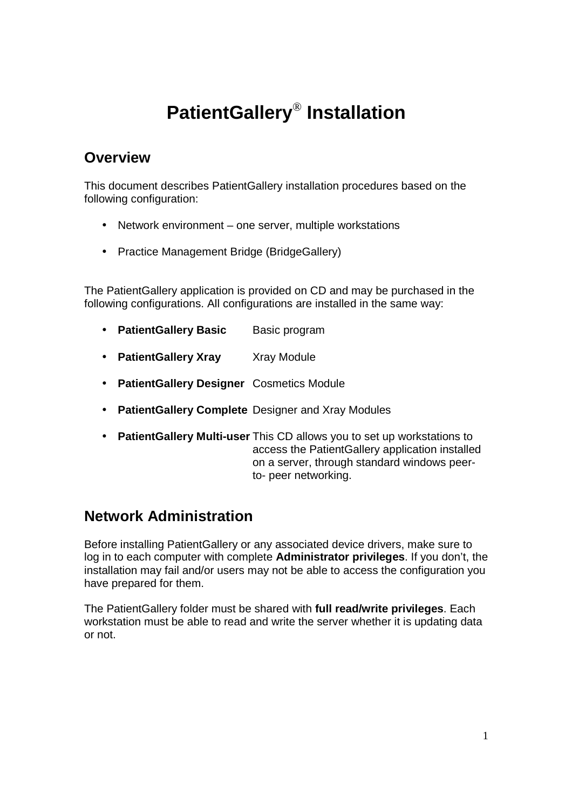# **PatientGallery**®  **Installation**

## **Overview**

This document describes PatientGallery installation procedures based on the following configuration:

- Network environment one server, multiple workstations
- Practice Management Bridge (BridgeGallery)

The PatientGallery application is provided on CD and may be purchased in the following configurations. All configurations are installed in the same way:

- **PatientGallery Basic** Basic program
- **PatientGallery Xray** Xray Module
- **PatientGallery Designer** Cosmetics Module
- **PatientGallery Complete** Designer and Xray Modules
- **PatientGallery Multi-user** This CD allows you to set up workstations to access the PatientGallery application installed on a server, through standard windows peerto- peer networking.

## **Network Administration**

Before installing PatientGallery or any associated device drivers, make sure to log in to each computer with complete **Administrator privileges**. If you don't, the installation may fail and/or users may not be able to access the configuration you have prepared for them.

The PatientGallery folder must be shared with **full read/write privileges**. Each workstation must be able to read and write the server whether it is updating data or not.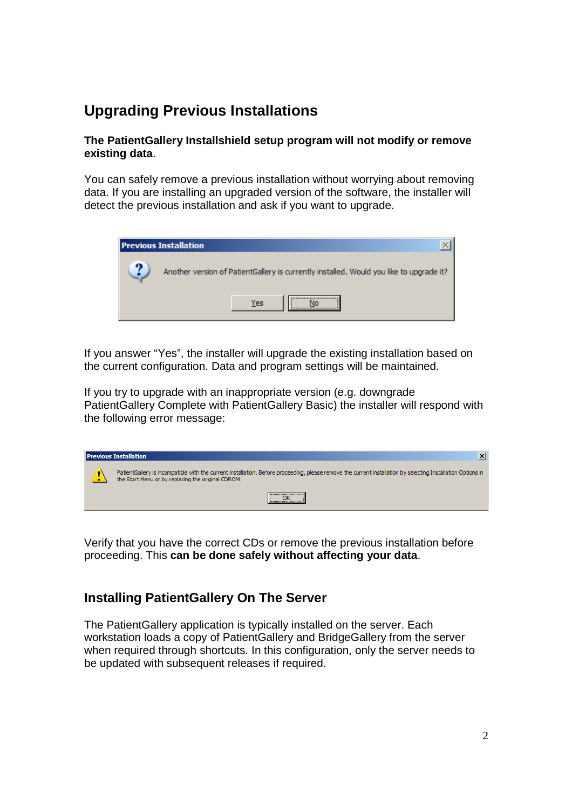# **Upgrading Previous Installations**

#### **The PatientGallery Installshield setup program will not modify or remove existing data**.

You can safely remove a previous installation without worrying about removing data. If you are installing an upgraded version of the software, the installer will detect the previous installation and ask if you want to upgrade.



If you answer "Yes", the installer will upgrade the existing installation based on the current configuration. Data and program settings will be maintained.

If you try to upgrade with an inappropriate version (e.g. downgrade PatientGallery Complete with PatientGallery Basic) the installer will respond with the following error message:

| <b>Previous Installation</b>                                                                                                                                                                                       | $\vert x \vert$ |
|--------------------------------------------------------------------------------------------------------------------------------------------------------------------------------------------------------------------|-----------------|
| PatientGallery is incompatible with the current installation. Before proceeding, please remove the current installation by selecting Installation Options in<br>the Start Menu or by replacing the original CDROM. |                 |
|                                                                                                                                                                                                                    |                 |

Verify that you have the correct CDs or remove the previous installation before proceeding. This **can be done safely without affecting your data**.

## **Installing PatientGallery On The Server**

The PatientGallery application is typically installed on the server. Each workstation loads a copy of PatientGallery and BridgeGallery from the server when required through shortcuts. In this configuration, only the server needs to be updated with subsequent releases if required.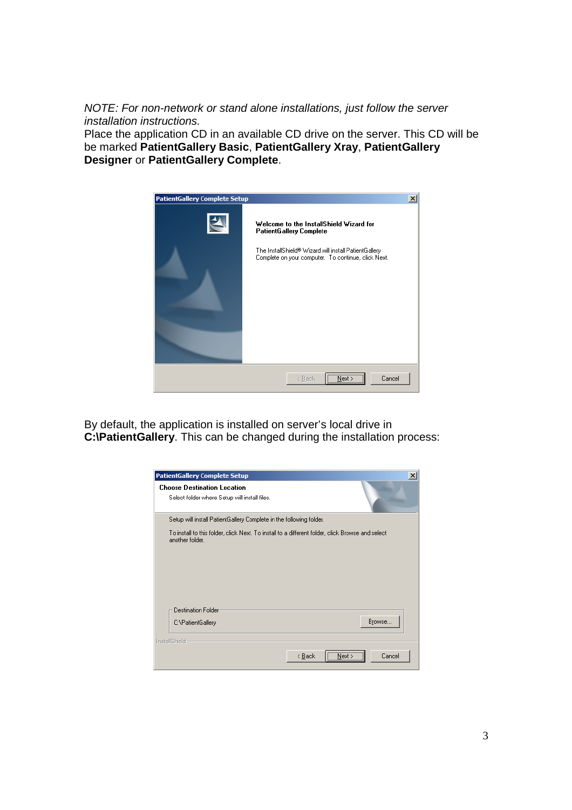NOTE: For non-network or stand alone installations, just follow the server installation instructions.

Place the application CD in an available CD drive on the server. This CD will be be marked **PatientGallery Basic**, **PatientGallery Xray**, **PatientGallery Designer** or **PatientGallery Complete**.



By default, the application is installed on server's local drive in **C:\PatientGallery**. This can be changed during the installation process:

| <b>PatientGallery Complete Setup</b>                                                                                |                          | $\boldsymbol{\mathsf{x}}$ |
|---------------------------------------------------------------------------------------------------------------------|--------------------------|---------------------------|
| <b>Choose Destination Location</b><br>Select folder where Setup will install files.                                 |                          |                           |
| Setup will install PatientGallery Complete in the following folder.                                                 |                          |                           |
| To install to this folder, click Next. To install to a different folder, click Browse and select<br>another folder. |                          |                           |
| Destination Folder<br>C:\PatientGallery                                                                             |                          | Browse                    |
| InstallShield                                                                                                       | < <u>B</u> ack<br>Next : | Cancel                    |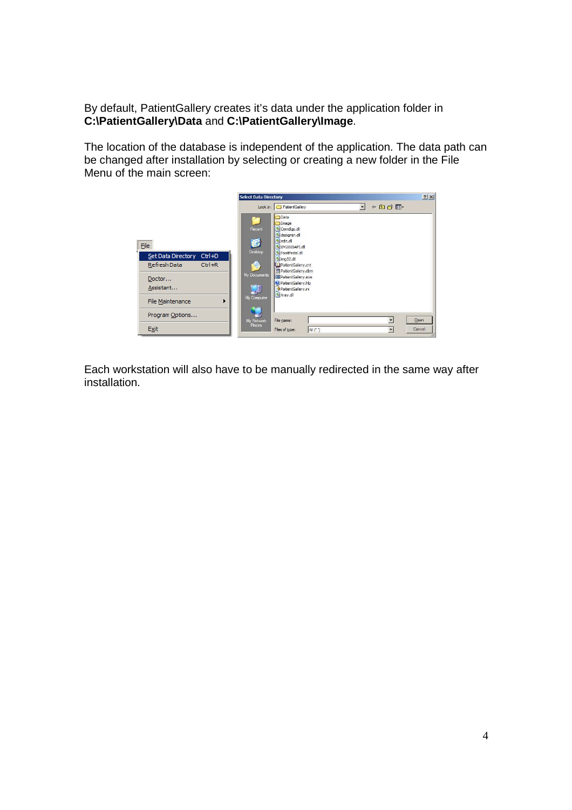By default, PatientGallery creates it's data under the application folder in **C:\PatientGallery\Data** and **C:\PatientGallery\Image**.

The location of the database is independent of the application. The data path can be changed after installation by selecting or creating a new folder in the File Menu of the main screen:



Each workstation will also have to be manually redirected in the same way after installation.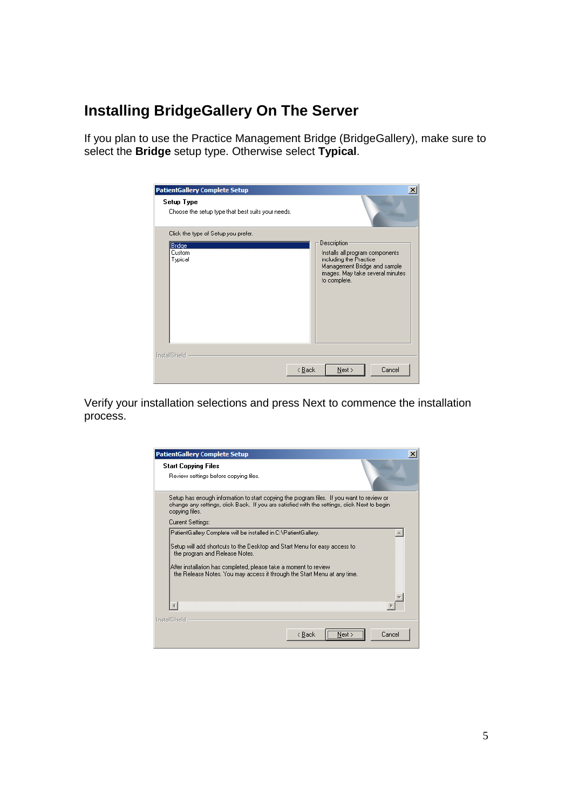## **Installing BridgeGallery On The Server**

If you plan to use the Practice Management Bridge (BridgeGallery), make sure to select the **Bridge** setup type. Otherwise select **Typical**.

| <b>PatientGallery Complete Setup</b><br>Setup Type<br>Choose the setup type that best suits your needs. | $\vert x \vert$                                                                                                                               |
|---------------------------------------------------------------------------------------------------------|-----------------------------------------------------------------------------------------------------------------------------------------------|
| Click the type of Setup you prefer.<br>Bridge                                                           | <b>Description</b>                                                                                                                            |
| Custom<br>Typical                                                                                       | Installs all program components<br>including the Practice<br>Management Bridge and sample<br>images. May take several minutes<br>to complete. |
| <b>InstallShield</b><br>< Back                                                                          | Cancel<br>Next                                                                                                                                |

Verify your installation selections and press Next to commence the installation process.

| <b>PatientGallery Complete Setup</b>                                                                                                                                                                                                                                                                                            | $\times$ |
|---------------------------------------------------------------------------------------------------------------------------------------------------------------------------------------------------------------------------------------------------------------------------------------------------------------------------------|----------|
| <b>Start Copying Files</b><br>Review settings before copying files.                                                                                                                                                                                                                                                             |          |
| Setup has enough information to start copying the program files. If you want to review or<br>change any settings, click Back. If you are satisfied with the settings, click Next to begin<br>copying files.                                                                                                                     |          |
| Current Settings:                                                                                                                                                                                                                                                                                                               |          |
| PatientGallery Complete will be installed in C:\PatientGallery.<br>Setup will add shortcuts to the Desktop and Start Menu for easy access to<br>the program and Release Notes.<br>After installation has completed, please take a moment to review.<br>the Release Notes. You may access it through the Start Menu at any time. |          |
|                                                                                                                                                                                                                                                                                                                                 |          |
| InstallShield<br>Cancel<br>< Back<br>Next >                                                                                                                                                                                                                                                                                     |          |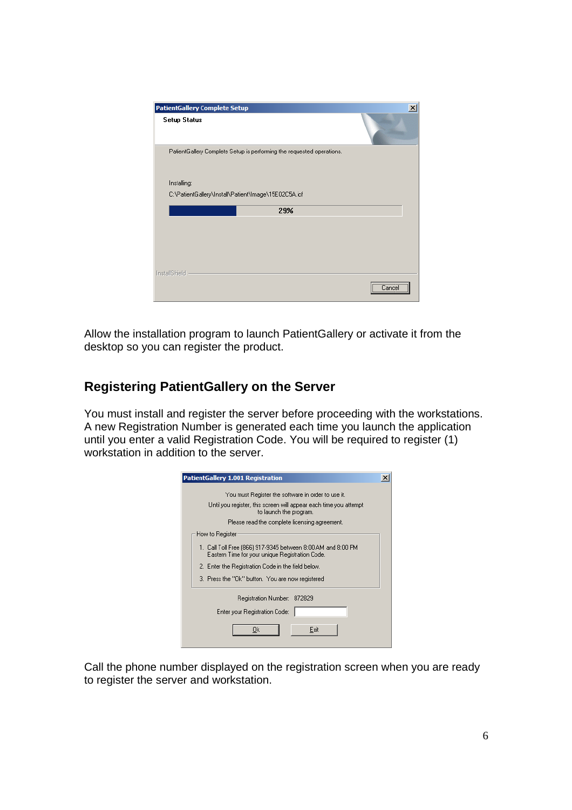| <b>PatientGallery Complete Setup</b>                                  | $\times$  |
|-----------------------------------------------------------------------|-----------|
| <b>Setup Status</b>                                                   |           |
| PatientGallery Complete Setup is performing the requested operations. |           |
| Installing:                                                           |           |
| C:\PatientGallery\Install\Patient\Image\15E02C5A.icf                  |           |
| 29%                                                                   |           |
|                                                                       |           |
|                                                                       |           |
|                                                                       |           |
|                                                                       |           |
| InstallShield                                                         |           |
|                                                                       | <br>Lance |

Allow the installation program to launch PatientGallery or activate it from the desktop so you can register the product.

## **Registering PatientGallery on the Server**

You must install and register the server before proceeding with the workstations. A new Registration Number is generated each time you launch the application until you enter a valid Registration Code. You will be required to register (1) workstation in addition to the server.

| <b>PatientGallery 1.001 Registration</b>                                                                        |  |
|-----------------------------------------------------------------------------------------------------------------|--|
| You must Register the software in order to use it.                                                              |  |
| Until you register, this screen will appear each time you attempt<br>to launch the program.                     |  |
| Please read the complete licensing agreement.                                                                   |  |
| How to Register                                                                                                 |  |
| 1. Call Toll Free (866) 917-9345 between 8:00 AM and 8:00 PM<br>Eastern Time for your unique Registration Code. |  |
| 2. Enter the Registration Code in the field below.                                                              |  |
| 3. Press the "Ok" button. You are now registered                                                                |  |
| Registration Number: 872829                                                                                     |  |
| Enter your Registration Code:                                                                                   |  |
| Exit<br>0k                                                                                                      |  |

Call the phone number displayed on the registration screen when you are ready to register the server and workstation.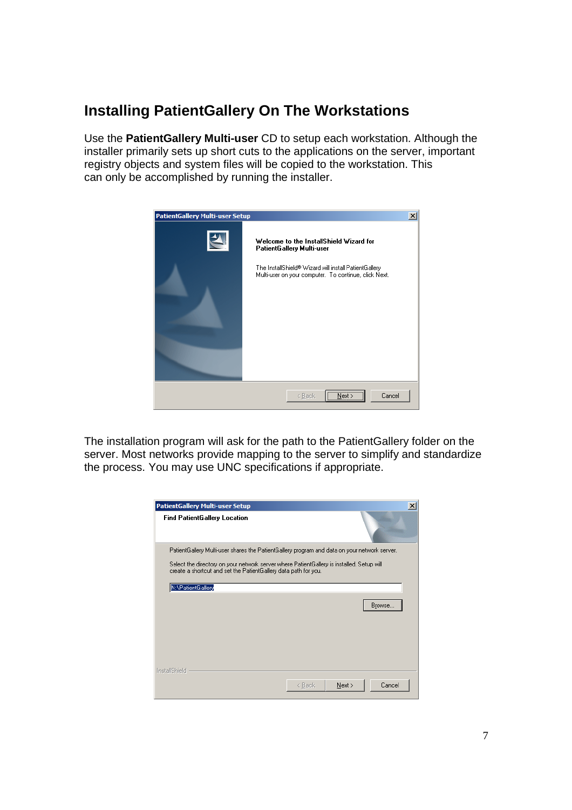## **Installing PatientGallery On The Workstations**

Use the **PatientGallery Multi-user** CD to setup each workstation. Although the installer primarily sets up short cuts to the applications on the server, important registry objects and system files will be copied to the workstation. This can only be accomplished by running the installer.



The installation program will ask for the path to the PatientGallery folder on the server. Most networks provide mapping to the server to simplify and standardize the process. You may use UNC specifications if appropriate.

| PatientGallery Multi-user Setup                                                                                                                              |        | $\vert x \vert$ |
|--------------------------------------------------------------------------------------------------------------------------------------------------------------|--------|-----------------|
| <b>Find PatientGallery Location</b>                                                                                                                          |        |                 |
| PatientGallery Multi-user shares the PatientGallery program and data on your network server.                                                                 |        |                 |
| Select the directory on your network server where PatientGallery is installed. Setup will<br>create a shortcut and set the PatientGallery data path for you. |        |                 |
| N:\PatientGallery                                                                                                                                            |        |                 |
|                                                                                                                                                              |        | Browse          |
| InstallShield                                                                                                                                                |        |                 |
|                                                                                                                                                              | < Back | Cancel<br>Next  |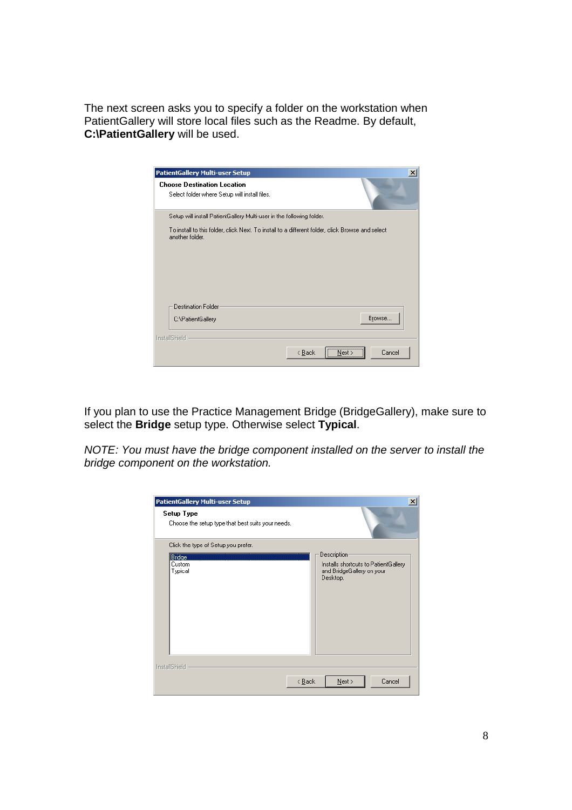The next screen asks you to specify a folder on the workstation when PatientGallery will store local files such as the Readme. By default, **C:\PatientGallery** will be used.

| <b>PatientGallery Multi-user Setup</b>                                                                              | $\vert x \vert$      |
|---------------------------------------------------------------------------------------------------------------------|----------------------|
| <b>Choose Destination Location</b><br>Select folder where Setup will install files.                                 |                      |
| Setup will install PatientGallery Multi-user in the following folder.                                               |                      |
| To install to this folder, click Next. To install to a different folder, click Browse and select<br>another folder. |                      |
| <b>Destination Folder</b><br>C:\PatientGallery                                                                      | Browse               |
|                                                                                                                     |                      |
| InstallShield                                                                                                       |                      |
| < <u>B</u> ack                                                                                                      | <br>Cancel<br>Next : |

If you plan to use the Practice Management Bridge (BridgeGallery), make sure to select the **Bridge** setup type. Otherwise select **Typical**.

NOTE: You must have the bridge component installed on the server to install the bridge component on the workstation.

| <b>PatientGallery Multi-user Setup</b><br>Setup Type<br>Choose the setup type that best suits your needs. | $\vert x \vert$                      |
|-----------------------------------------------------------------------------------------------------------|--------------------------------------|
| Click the type of Setup you prefer.                                                                       | <b>Description</b>                   |
| Bridge                                                                                                    | Installs shortcuts to PatientGallery |
| Custom                                                                                                    | and BridgeGallery on your            |
| Typical                                                                                                   | Desktop.                             |
| InstallShield                                                                                             | Next                                 |
| $\leq$ $\underline{B}$ ack                                                                                | Cancel                               |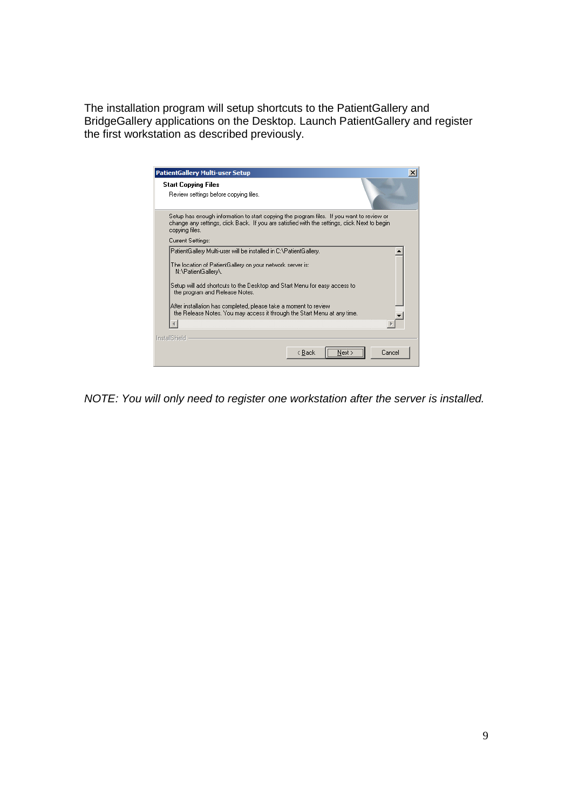The installation program will setup shortcuts to the PatientGallery and BridgeGallery applications on the Desktop. Launch PatientGallery and register the first workstation as described previously.

| <b>PatientGallery Multi-user Setup</b>                                                                                                                                                                                                                                                                                                                                                                                | $\vert x \vert$ |
|-----------------------------------------------------------------------------------------------------------------------------------------------------------------------------------------------------------------------------------------------------------------------------------------------------------------------------------------------------------------------------------------------------------------------|-----------------|
| <b>Start Copying Files</b><br>Review settings before copying files.                                                                                                                                                                                                                                                                                                                                                   |                 |
| Setup has enough information to start copying the program files. If you want to review or<br>change any settings, click Back. If you are satisfied with the settings, click Next to begin<br>copying files.                                                                                                                                                                                                           |                 |
| Current Settings:                                                                                                                                                                                                                                                                                                                                                                                                     |                 |
| PatientGallery Multi-user will be installed in C:\PatientGallery.<br>The location of PatientGallery on your network server is:<br>N:\PatientGallery\.<br>Setup will add shortcuts to the Desktop and Start Menu for easy access to<br>the program and Release Notes.<br>After installation has completed, please take a moment to review.<br>the Release Notes. You may access it through the Start Menu at any time. |                 |
|                                                                                                                                                                                                                                                                                                                                                                                                                       |                 |
| InstallShield                                                                                                                                                                                                                                                                                                                                                                                                         |                 |
| Cancel<br>< Back                                                                                                                                                                                                                                                                                                                                                                                                      |                 |

NOTE: You will only need to register one workstation after the server is installed.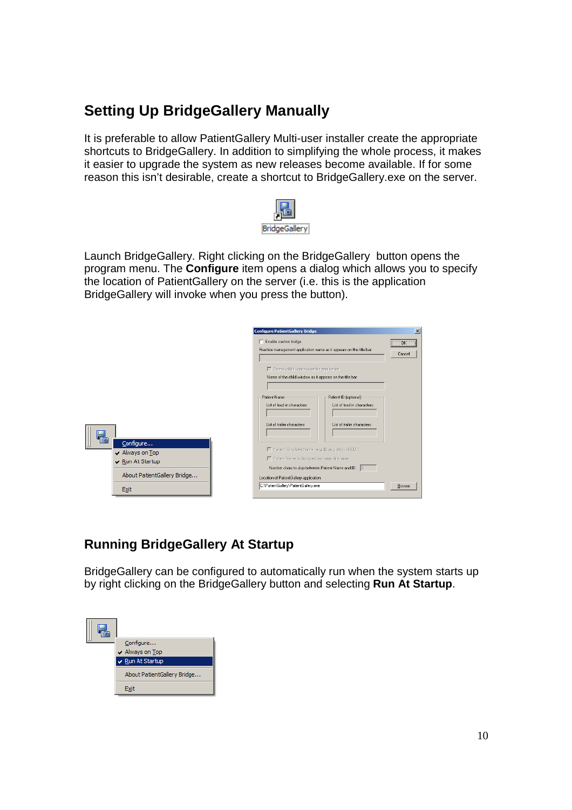## **Setting Up BridgeGallery Manually**

It is preferable to allow PatientGallery Multi-user installer create the appropriate shortcuts to BridgeGallery. In addition to simplifying the whole process, it makes it easier to upgrade the system as new releases become available. If for some reason this isn't desirable, create a shortcut to BridgeGallery.exe on the server.



Launch BridgeGallery. Right clicking on the BridgeGallery button opens the program menu. The **Configure** item opens a dialog which allows you to specify the location of PatientGallery on the server (i.e. this is the application BridgeGallery will invoke when you press the button).

|    |                                                                       | <b>Configure PatientGallery Bridge</b><br>Enable custom bridge<br>Practice management application name as it appears on the title bar:                                                                        |                                                            | $\vert x \vert$<br><b>OK</b><br>Cancel |
|----|-----------------------------------------------------------------------|---------------------------------------------------------------------------------------------------------------------------------------------------------------------------------------------------------------|------------------------------------------------------------|----------------------------------------|
|    |                                                                       | $\Box$ Search child windows within application<br>Name of the child window as it appears on the title bar:<br>Patient Name                                                                                    | Patient ID [optional]                                      |                                        |
| T. | Configure                                                             | List of lead-in characters:<br>List of trailer characters:                                                                                                                                                    | List of lead-in characters:<br>List of trailer characters: |                                        |
|    | $\vee$ Always on Top<br>Run At Startup<br>About PatientGallery Bridge | F Patient ID follows Name - e.g. (Doe, John) - (10001)<br>F   Patient Name is displayed lastname, firstname<br>Number chars to skip between Patient Name and ID: 0<br>Location of PatientGallery application: |                                                            |                                        |
|    | <b>Exit</b>                                                           | C:\PatientGallery\PatientGallery.exe                                                                                                                                                                          |                                                            | Browse                                 |

## **Running BridgeGallery At Startup**

BridgeGallery can be configured to automatically run when the system starts up by right clicking on the BridgeGallery button and selecting **Run At Startup**.

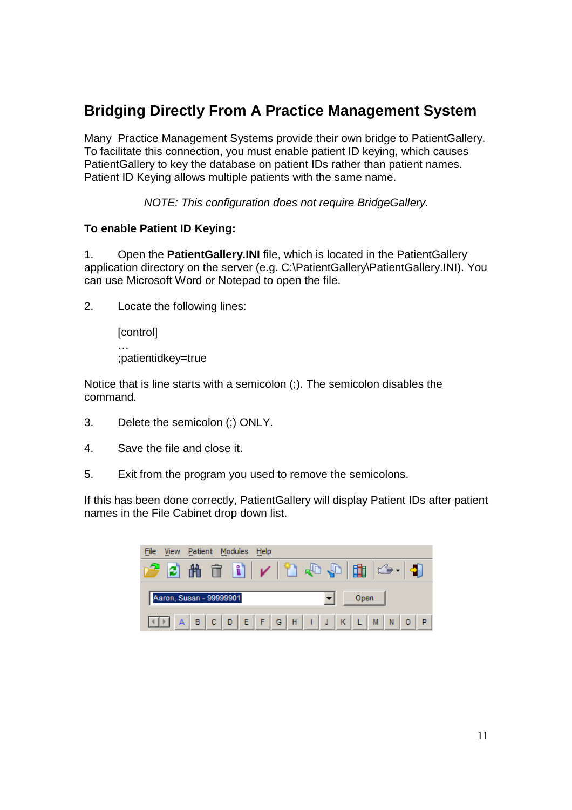## **Bridging Directly From A Practice Management System**

Many Practice Management Systems provide their own bridge to PatientGallery. To facilitate this connection, you must enable patient ID keying, which causes PatientGallery to key the database on patient IDs rather than patient names. Patient ID Keying allows multiple patients with the same name.

NOTE: This configuration does not require BridgeGallery.

#### **To enable Patient ID Keying:**

1. Open the **PatientGallery.INI** file, which is located in the PatientGallery application directory on the server (e.g. C:\PatientGallery\PatientGallery.INI). You can use Microsoft Word or Notepad to open the file.

2. Locate the following lines:

[control] … ;patientidkey=true

Notice that is line starts with a semicolon (;). The semicolon disables the command.

- 3. Delete the semicolon (;) ONLY.
- 4. Save the file and close it.
- 5. Exit from the program you used to remove the semicolons.

If this has been done correctly, PatientGallery will display Patient IDs after patient names in the File Cabinet drop down list.

| File View Patient Modules Help |      |
|--------------------------------|------|
|                                |      |
|                                |      |
| Aaron, Susan - 99999901        | Open |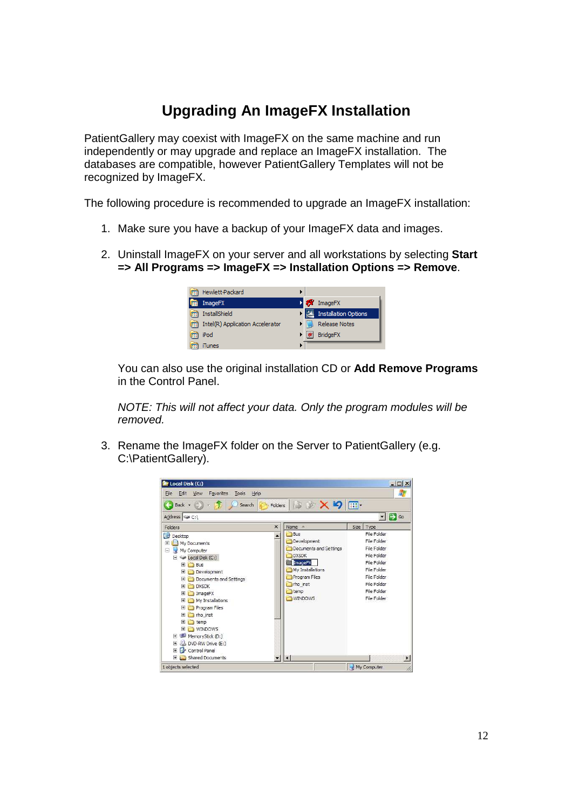## **Upgrading An ImageFX Installation**

PatientGallery may coexist with ImageFX on the same machine and run independently or may upgrade and replace an ImageFX installation. The databases are compatible, however PatientGallery Templates will not be recognized by ImageFX.

The following procedure is recommended to upgrade an ImageFX installation:

- 1. Make sure you have a backup of your ImageFX data and images.
- 2. Uninstall ImageFX on your server and all workstations by selecting **Start => All Programs => ImageFX => Installation Options => Remove**.

| <b>Im Hewlett-Packard</b>             |  |                           |
|---------------------------------------|--|---------------------------|
| <b>Em</b> ImageFX                     |  | <b>D</b> <i>M</i> ImageFX |
| <b>InstallShield</b>                  |  | • 프 Installation Options  |
| [17] Intel(R) Application Accelerator |  | Release Notes             |
| iPod                                  |  | * BridgeFX                |
| <b>iTunes</b>                         |  |                           |

You can also use the original installation CD or **Add Remove Programs**  in the Control Panel.

NOTE: This will not affect your data. Only the program modules will be removed.

3. Rename the ImageFX folder on the Server to PatientGallery (e.g. C:\PatientGallery).